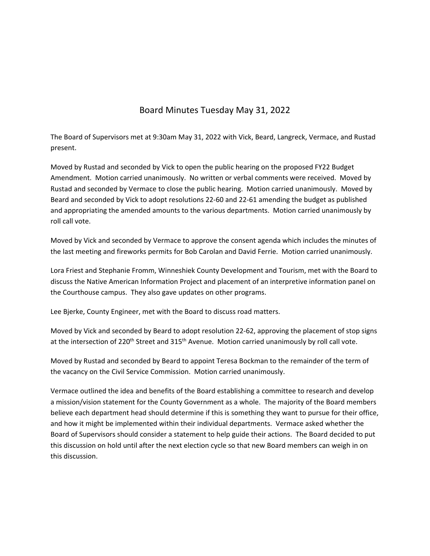## Board Minutes Tuesday May 31, 2022

The Board of Supervisors met at 9:30am May 31, 2022 with Vick, Beard, Langreck, Vermace, and Rustad present.

Moved by Rustad and seconded by Vick to open the public hearing on the proposed FY22 Budget Amendment. Motion carried unanimously. No written or verbal comments were received. Moved by Rustad and seconded by Vermace to close the public hearing. Motion carried unanimously. Moved by Beard and seconded by Vick to adopt resolutions 22‐60 and 22‐61 amending the budget as published and appropriating the amended amounts to the various departments. Motion carried unanimously by roll call vote.

Moved by Vick and seconded by Vermace to approve the consent agenda which includes the minutes of the last meeting and fireworks permits for Bob Carolan and David Ferrie. Motion carried unanimously.

Lora Friest and Stephanie Fromm, Winneshiek County Development and Tourism, met with the Board to discuss the Native American Information Project and placement of an interpretive information panel on the Courthouse campus. They also gave updates on other programs.

Lee Bjerke, County Engineer, met with the Board to discuss road matters.

Moved by Vick and seconded by Beard to adopt resolution 22‐62, approving the placement of stop signs at the intersection of 220<sup>th</sup> Street and 315<sup>th</sup> Avenue. Motion carried unanimously by roll call vote.

Moved by Rustad and seconded by Beard to appoint Teresa Bockman to the remainder of the term of the vacancy on the Civil Service Commission. Motion carried unanimously.

Vermace outlined the idea and benefits of the Board establishing a committee to research and develop a mission/vision statement for the County Government as a whole. The majority of the Board members believe each department head should determine if this is something they want to pursue for their office, and how it might be implemented within their individual departments. Vermace asked whether the Board of Supervisors should consider a statement to help guide their actions. The Board decided to put this discussion on hold until after the next election cycle so that new Board members can weigh in on this discussion.